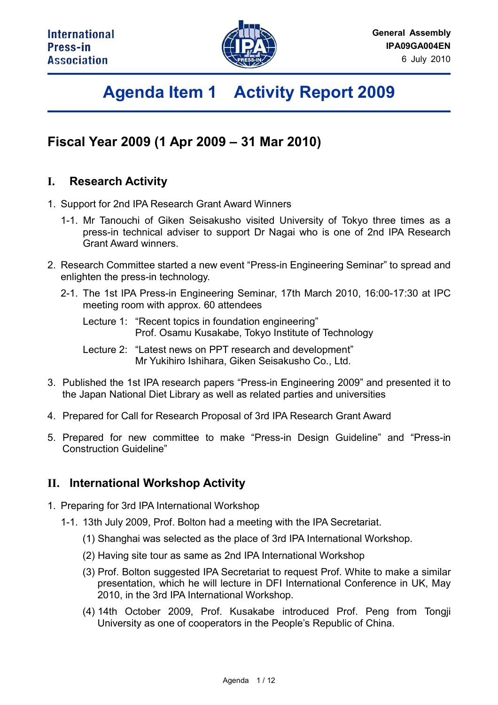

# **Agenda Item 1 Activity Report 2009**

## **Fiscal Year 2009 (1 Apr 2009 – 31 Mar 2010)**

### **I. Research Activity**

- 1. Support for 2nd IPA Research Grant Award Winners
	- 1-1. Mr Tanouchi of Giken Seisakusho visited University of Tokyo three times as a press-in technical adviser to support Dr Nagai who is one of 2nd IPA Research Grant Award winners.
- 2. Research Committee started a new event "Press-in Engineering Seminar" to spread and enlighten the press-in technology.
	- 2-1. The 1st IPA Press-in Engineering Seminar, 17th March 2010, 16:00-17:30 at IPC meeting room with approx. 60 attendees

 Lecture 1: "Recent topics in foundation engineering" Prof. Osamu Kusakabe, Tokyo Institute of Technology

- Lecture 2: "Latest news on PPT research and development" Mr Yukihiro Ishihara, Giken Seisakusho Co., Ltd.
- 3. Published the 1st IPA research papers "Press-in Engineering 2009" and presented it to the Japan National Diet Library as well as related parties and universities
- 4. Prepared for Call for Research Proposal of 3rd IPA Research Grant Award
- 5. Prepared for new committee to make "Press-in Design Guideline" and "Press-in Construction Guideline"

### **II. International Workshop Activity**

- 1. Preparing for 3rd IPA International Workshop
	- 1-1. 13th July 2009, Prof. Bolton had a meeting with the IPA Secretariat.
		- (1) Shanghai was selected as the place of 3rd IPA International Workshop.
		- (2) Having site tour as same as 2nd IPA International Workshop
		- (3) Prof. Bolton suggested IPA Secretariat to request Prof. White to make a similar presentation, which he will lecture in DFI International Conference in UK, May 2010, in the 3rd IPA International Workshop.
		- (4) 14th October 2009, Prof. Kusakabe introduced Prof. Peng from Tongji University as one of cooperators in the People's Republic of China.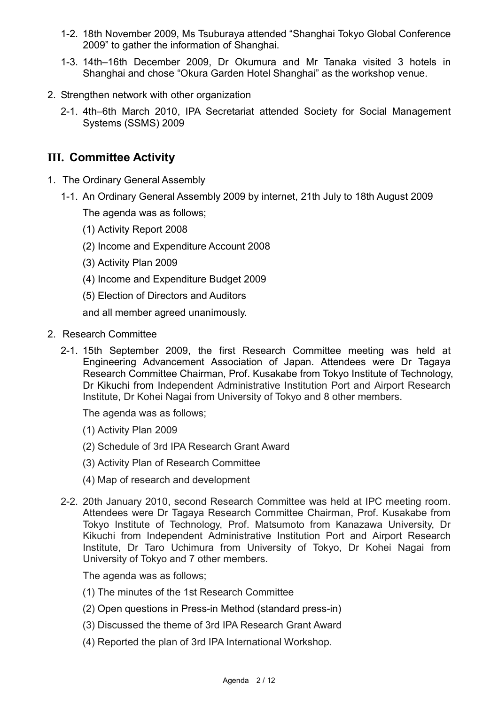- 1-2. 18th November 2009, Ms Tsuburaya attended "Shanghai Tokyo Global Conference 2009" to gather the information of Shanghai.
- 1-3. 14th–16th December 2009, Dr Okumura and Mr Tanaka visited 3 hotels in Shanghai and chose "Okura Garden Hotel Shanghai" as the workshop venue.
- 2. Strengthen network with other organization
	- 2-1. 4th–6th March 2010, IPA Secretariat attended Society for Social Management Systems (SSMS) 2009

### **III. Committee Activity**

- 1. The Ordinary General Assembly
	- 1-1. An Ordinary General Assembly 2009 by internet, 21th July to 18th August 2009

The agenda was as follows;

- (1) Activity Report 2008
- (2) Income and Expenditure Account 2008
- (3) Activity Plan 2009
- (4) Income and Expenditure Budget 2009
- (5) Election of Directors and Auditors

and all member agreed unanimously.

- 2. Research Committee
	- 2-1. 15th September 2009, the first Research Committee meeting was held at Engineering Advancement Association of Japan. Attendees were Dr Tagaya Research Committee Chairman, Prof. Kusakabe from Tokyo Institute of Technology, Dr Kikuchi from Independent Administrative Institution Port and Airport Research Institute, Dr Kohei Nagai from University of Tokyo and 8 other members.

The agenda was as follows;

- (1) Activity Plan 2009
- (2) Schedule of 3rd IPA Research Grant Award
- (3) Activity Plan of Research Committee
- (4) Map of research and development
- 2-2. 20th January 2010, second Research Committee was held at IPC meeting room. Attendees were Dr Tagaya Research Committee Chairman, Prof. Kusakabe from Tokyo Institute of Technology, Prof. Matsumoto from Kanazawa University, Dr Kikuchi from Independent Administrative Institution Port and Airport Research Institute, Dr Taro Uchimura from University of Tokyo, Dr Kohei Nagai from University of Tokyo and 7 other members.

The agenda was as follows;

- (1) The minutes of the 1st Research Committee
- (2) Open questions in Press-in Method (standard press-in)
- (3) Discussed the theme of 3rd IPA Research Grant Award
- (4) Reported the plan of 3rd IPA International Workshop.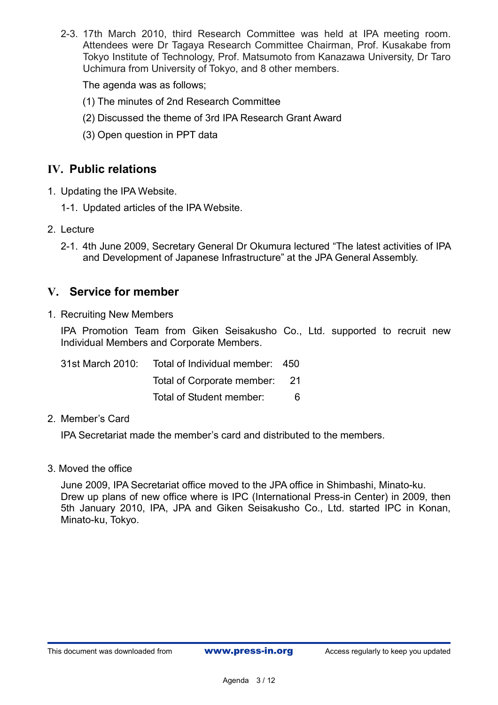2-3. 17th March 2010, third Research Committee was held at IPA meeting room. Attendees were Dr Tagaya Research Committee Chairman, Prof. Kusakabe from Tokyo Institute of Technology, Prof. Matsumoto from Kanazawa University, Dr Taro Uchimura from University of Tokyo, and 8 other members.

The agenda was as follows;

- (1) The minutes of 2nd Research Committee
- (2) Discussed the theme of 3rd IPA Research Grant Award
- (3) Open question in PPT data

#### **IV. Public relations**

- 1. Updating the IPA Website.
	- 1-1. Updated articles of the IPA Website.
- 2. Lecture
	- 2-1. 4th June 2009, Secretary General Dr Okumura lectured "The latest activities of IPA and Development of Japanese Infrastructure" at the JPA General Assembly.

#### **V. Service for member**

1. Recruiting New Members

 IPA Promotion Team from Giken Seisakusho Co., Ltd. supported to recruit new Individual Members and Corporate Members.

| 31st March 2010: | Total of Individual member: 450 |    |
|------------------|---------------------------------|----|
|                  | Total of Corporate member: 21   |    |
|                  | Total of Student member:        | 6. |

#### 2. Member's Card

IPA Secretariat made the member's card and distributed to the members.

3. Moved the office

June 2009, IPA Secretariat office moved to the JPA office in Shimbashi, Minato-ku. Drew up plans of new office where is IPC (International Press-in Center) in 2009, then 5th January 2010, IPA, JPA and Giken Seisakusho Co., Ltd. started IPC in Konan, Minato-ku, Tokyo.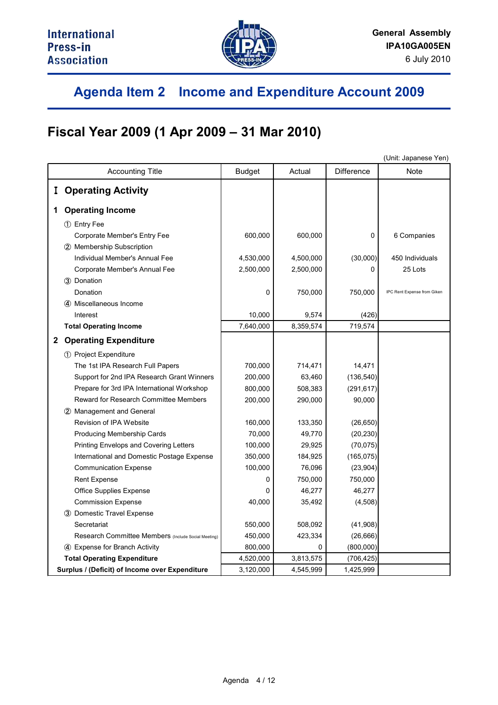

## **Agenda Item 2 Income and Expenditure Account 2009**

## **Fiscal Year 2009 (1 Apr 2009 – 31 Mar 2010)**

|                                                | (Unit: Japanese Yen)                                |               |           |                   |                             |
|------------------------------------------------|-----------------------------------------------------|---------------|-----------|-------------------|-----------------------------|
| <b>Accounting Title</b>                        |                                                     | <b>Budget</b> | Actual    | <b>Difference</b> | Note                        |
|                                                | <b>I</b> Operating Activity                         |               |           |                   |                             |
|                                                |                                                     |               |           |                   |                             |
|                                                | 1 Operating Income                                  |               |           |                   |                             |
|                                                | 1 Entry Fee                                         |               |           |                   |                             |
|                                                | Corporate Member's Entry Fee                        | 600,000       | 600,000   | 0                 | 6 Companies                 |
|                                                | 2 Membership Subscription                           |               |           |                   |                             |
|                                                | Individual Member's Annual Fee                      | 4,530,000     | 4,500,000 | (30,000)          | 450 Individuals             |
|                                                | Corporate Member's Annual Fee                       | 2,500,000     | 2,500,000 | 0                 | 25 Lots                     |
|                                                | 3 Donation                                          |               |           |                   |                             |
|                                                | Donation                                            | 0             | 750,000   | 750,000           | IPC Rent Expense from Giken |
|                                                | 4) Miscellaneous Income                             |               |           |                   |                             |
|                                                | Interest                                            | 10,000        | 9,574     | (426)             |                             |
|                                                | <b>Total Operating Income</b>                       | 7,640,000     | 8,359,574 | 719,574           |                             |
|                                                | 2 Operating Expenditure                             |               |           |                   |                             |
|                                                | 1 Project Expenditure                               |               |           |                   |                             |
|                                                | The 1st IPA Research Full Papers                    | 700,000       | 714,471   | 14,471            |                             |
|                                                | Support for 2nd IPA Research Grant Winners          | 200,000       | 63,460    | (136, 540)        |                             |
|                                                | Prepare for 3rd IPA International Workshop          | 800,000       | 508,383   | (291, 617)        |                             |
|                                                | Reward for Research Committee Members               | 200,000       | 290,000   | 90,000            |                             |
|                                                | 2 Management and General                            |               |           |                   |                             |
|                                                | Revision of IPA Website                             | 160,000       | 133,350   | (26, 650)         |                             |
|                                                | Producing Membership Cards                          | 70,000        | 49,770    | (20, 230)         |                             |
|                                                | <b>Printing Envelops and Covering Letters</b>       | 100,000       | 29,925    | (70, 075)         |                             |
|                                                | International and Domestic Postage Expense          | 350,000       | 184,925   | (165, 075)        |                             |
|                                                | <b>Communication Expense</b>                        | 100,000       | 76,096    | (23, 904)         |                             |
|                                                | Rent Expense                                        | 0             | 750,000   | 750,000           |                             |
|                                                | <b>Office Supplies Expense</b>                      | $\Omega$      | 46,277    | 46,277            |                             |
|                                                | <b>Commission Expense</b>                           | 40,000        | 35,492    | (4,508)           |                             |
|                                                | 3 Domestic Travel Expense                           |               |           |                   |                             |
|                                                | Secretariat                                         | 550,000       | 508,092   | (41,908)          |                             |
|                                                | Research Committee Members (Include Social Meeting) | 450,000       | 423,334   | (26, 666)         |                             |
|                                                | 4 Expense for Branch Activity                       | 800,000       | 0         | (800, 000)        |                             |
|                                                | <b>Total Operating Expenditure</b>                  | 4,520,000     | 3,813,575 | (706, 425)        |                             |
| Surplus / (Deficit) of Income over Expenditure |                                                     | 3,120,000     | 4,545,999 | 1,425,999         |                             |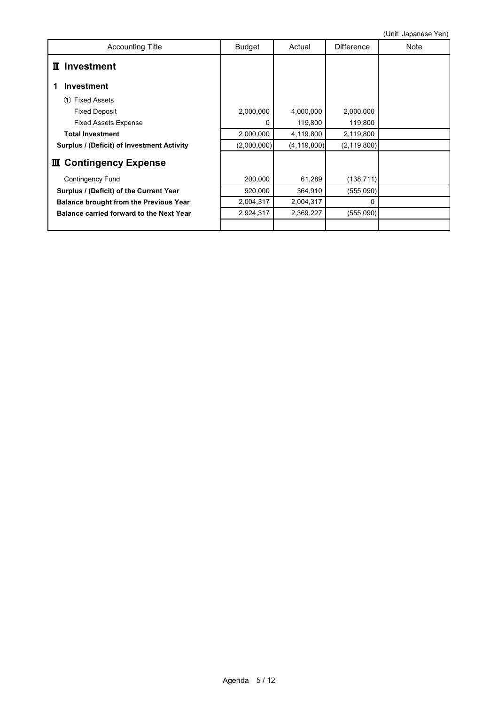| <b>Accounting Title</b>                       | <b>Budget</b> | Actual        | <b>Difference</b> | V(111. VQ)<br>Note |
|-----------------------------------------------|---------------|---------------|-------------------|--------------------|
| <b>Investment</b><br>П                        |               |               |                   |                    |
| <b>Investment</b>                             |               |               |                   |                    |
| <b>Fixed Assets</b><br>∩                      |               |               |                   |                    |
| <b>Fixed Deposit</b>                          | 2,000,000     | 4,000,000     | 2,000,000         |                    |
| <b>Fixed Assets Expense</b>                   | 0             | 119,800       | 119,800           |                    |
| <b>Total Investment</b>                       | 2,000,000     | 4,119,800     | 2,119,800         |                    |
| Surplus / (Deficit) of Investment Activity    | (2,000,000)   | (4, 119, 800) | (2, 119, 800)     |                    |
| <b>III</b> Contingency Expense                |               |               |                   |                    |
| <b>Contingency Fund</b>                       | 200,000       | 61,289        | (138, 711)        |                    |
| Surplus / (Deficit) of the Current Year       | 920,000       | 364,910       | (555,090)         |                    |
| <b>Balance brought from the Previous Year</b> | 2,004,317     | 2,004,317     | $\Omega$          |                    |
| Balance carried forward to the Next Year      | 2,924,317     | 2,369,227     | (555,090)         |                    |
|                                               |               |               |                   |                    |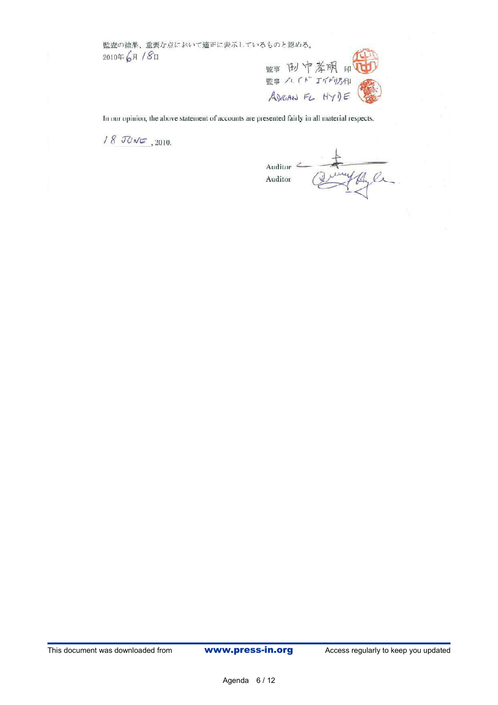監査の結果、重要な点において適正に表示しているものと認める。 2010年6月 /8日



In our opinion, the above statement of accounts are presented fairly in all material respects.

 $18$  JUNE, 2010.

Auditor Curry the Ca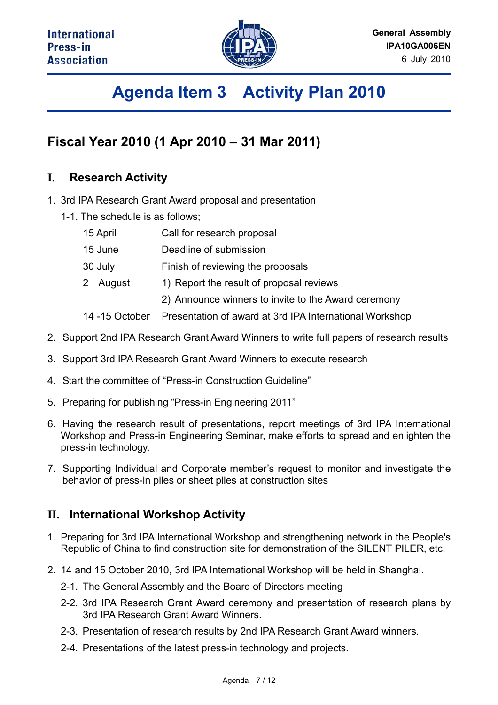

# **Agenda Item 3 Activity Plan 2010**

## **Fiscal Year 2010 (1 Apr 2010 – 31 Mar 2011)**

### **I. Research Activity**

- 1. 3rd IPA Research Grant Award proposal and presentation
	- 1-1. The schedule is as follows;

| Call for research proposal<br>15 April |
|----------------------------------------|
|----------------------------------------|

- 15 June Deadline of submission
- 30 July Finish of reviewing the proposals
- 2 August 1) Report the result of proposal reviews
	- 2) Announce winners to invite to the Award ceremony
- 14 -15 October Presentation of award at 3rd IPA International Workshop
- 2. Support 2nd IPA Research Grant Award Winners to write full papers of research results
- 3. Support 3rd IPA Research Grant Award Winners to execute research
- 4. Start the committee of "Press-in Construction Guideline"
- 5. Preparing for publishing "Press-in Engineering 2011"
- 6. Having the research result of presentations, report meetings of 3rd IPA International Workshop and Press-in Engineering Seminar, make efforts to spread and enlighten the press-in technology.
- 7. Supporting Individual and Corporate member's request to monitor and investigate the behavior of press-in piles or sheet piles at construction sites

### **II. International Workshop Activity**

- 1. Preparing for 3rd IPA International Workshop and strengthening network in the People's Republic of China to find construction site for demonstration of the SILENT PILER, etc.
- 2. 14 and 15 October 2010, 3rd IPA International Workshop will be held in Shanghai.
	- 2-1. The General Assembly and the Board of Directors meeting
	- 2-2. 3rd IPA Research Grant Award ceremony and presentation of research plans by 3rd IPA Research Grant Award Winners.
	- 2-3. Presentation of research results by 2nd IPA Research Grant Award winners.
	- 2-4. Presentations of the latest press-in technology and projects.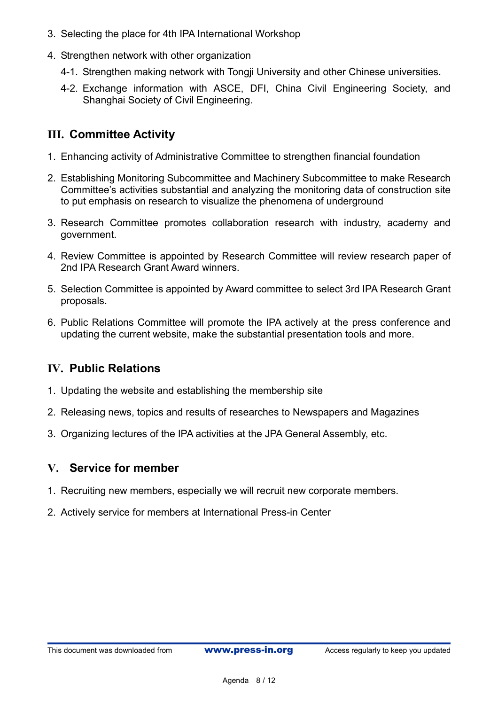- 3. Selecting the place for 4th IPA International Workshop
- 4. Strengthen network with other organization
	- 4-1. Strengthen making network with Tongji University and other Chinese universities.
	- 4-2. Exchange information with ASCE, DFI, China Civil Engineering Society, and Shanghai Society of Civil Engineering.

### **III. Committee Activity**

- 1. Enhancing activity of Administrative Committee to strengthen financial foundation
- 2. Establishing Monitoring Subcommittee and Machinery Subcommittee to make Research Committee's activities substantial and analyzing the monitoring data of construction site to put emphasis on research to visualize the phenomena of underground
- 3. Research Committee promotes collaboration research with industry, academy and government.
- 4. Review Committee is appointed by Research Committee will review research paper of 2nd IPA Research Grant Award winners.
- 5. Selection Committee is appointed by Award committee to select 3rd IPA Research Grant proposals.
- 6. Public Relations Committee will promote the IPA actively at the press conference and updating the current website, make the substantial presentation tools and more.

### **IV. Public Relations**

- 1. Updating the website and establishing the membership site
- 2. Releasing news, topics and results of researches to Newspapers and Magazines
- 3. Organizing lectures of the IPA activities at the JPA General Assembly, etc.

### **V. Service for member**

- 1. Recruiting new members, especially we will recruit new corporate members.
- 2. Actively service for members at International Press-in Center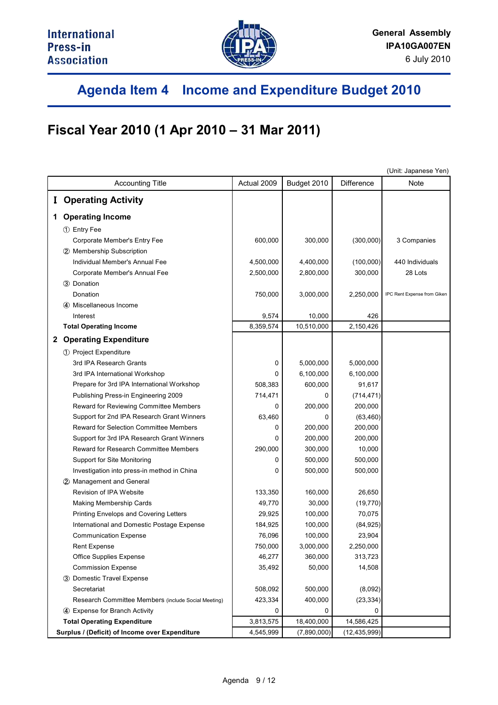

## **Agenda Item 4 Income and Expenditure Budget 2010**

## **Fiscal Year 2010 (1 Apr 2010 – 31 Mar 2011)**

|   |                                                     |             |             |                | (Unit: Japanese Yen)        |
|---|-----------------------------------------------------|-------------|-------------|----------------|-----------------------------|
|   | <b>Accounting Title</b>                             | Actual 2009 | Budget 2010 | Difference     | Note                        |
|   | <b>I</b> Operating Activity                         |             |             |                |                             |
|   | 1 Operating Income                                  |             |             |                |                             |
|   | 1 Entry Fee                                         |             |             |                |                             |
|   | Corporate Member's Entry Fee                        | 600,000     | 300,000     | (300,000)      | 3 Companies                 |
|   | 2 Membership Subscription                           |             |             |                |                             |
|   | Individual Member's Annual Fee                      | 4,500,000   | 4,400,000   | (100,000)      | 440 Individuals             |
|   | Corporate Member's Annual Fee                       | 2,500,000   | 2,800,000   | 300,000        | 28 Lots                     |
|   | (3) Donation                                        |             |             |                |                             |
|   | Donation                                            | 750,000     | 3,000,000   | 2,250,000      | IPC Rent Expense from Giken |
|   | (4) Miscellaneous Income                            |             |             |                |                             |
|   | Interest                                            | 9,574       | 10,000      | 426            |                             |
|   | <b>Total Operating Income</b>                       | 8,359,574   | 10,510,000  | 2,150,426      |                             |
| 2 | <b>Operating Expenditure</b>                        |             |             |                |                             |
|   | 1 Project Expenditure                               |             |             |                |                             |
|   | 3rd IPA Research Grants                             | 0           | 5,000,000   | 5,000,000      |                             |
|   | 3rd IPA International Workshop                      | 0           | 6,100,000   | 6,100,000      |                             |
|   | Prepare for 3rd IPA International Workshop          | 508,383     | 600,000     | 91,617         |                             |
|   | Publishing Press-in Engineering 2009                | 714,471     | 0           | (714, 471)     |                             |
|   | Reward for Reviewing Committee Members              | 0           | 200,000     | 200,000        |                             |
|   | Support for 2nd IPA Research Grant Winners          | 63,460      | 0           | (63, 460)      |                             |
|   | Reward for Selection Committee Members              | 0           | 200,000     | 200,000        |                             |
|   | Support for 3rd IPA Research Grant Winners          | 0           | 200,000     | 200,000        |                             |
|   | Reward for Research Committee Members               | 290,000     | 300,000     | 10,000         |                             |
|   | Support for Site Monitoring                         | 0           | 500,000     | 500,000        |                             |
|   | Investigation into press-in method in China         | 0           | 500,000     | 500,000        |                             |
|   | 2 Management and General                            |             |             |                |                             |
|   | Revision of IPA Website                             | 133,350     | 160,000     | 26,650         |                             |
|   | <b>Making Membership Cards</b>                      | 49,770      | 30,000      | (19, 770)      |                             |
|   | Printing Envelops and Covering Letters              | 29,925      | 100,000     | 70,075         |                             |
|   | International and Domestic Postage Expense          | 184,925     | 100,000     | (84, 925)      |                             |
|   | <b>Communication Expense</b>                        | 76,096      | 100,000     | 23,904         |                             |
|   | <b>Rent Expense</b>                                 | 750,000     | 3,000,000   | 2,250,000      |                             |
|   | <b>Office Supplies Expense</b>                      | 46,277      | 360,000     | 313,723        |                             |
|   | <b>Commission Expense</b>                           | 35,492      | 50,000      | 14,508         |                             |
|   | 3 Domestic Travel Expense                           |             |             |                |                             |
|   | Secretariat                                         | 508,092     | 500,000     | (8,092)        |                             |
|   | Research Committee Members (include Social Meeting) | 423,334     | 400,000     | (23, 334)      |                             |
|   | 4 Expense for Branch Activity                       | 0           | 0           |                |                             |
|   | <b>Total Operating Expenditure</b>                  | 3,813,575   | 18,400,000  | 14,586,425     |                             |
|   | Surplus / (Deficit) of Income over Expenditure      | 4,545,999   | (7,890,000) | (12, 435, 999) |                             |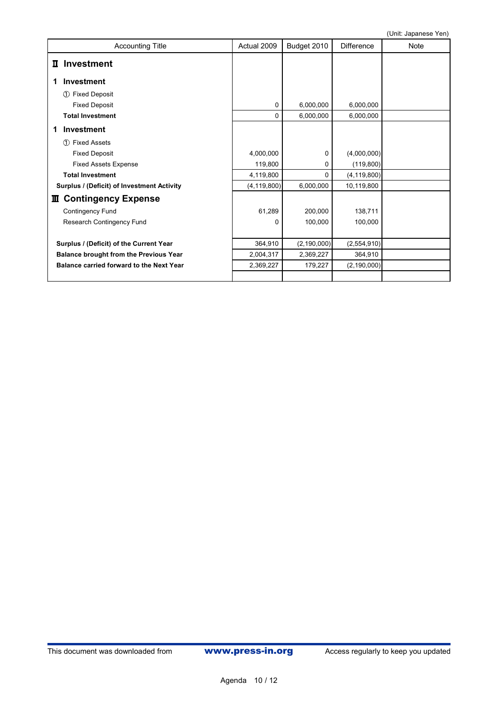| <b>Accounting Title</b>                       | Actual 2009   | Budget 2010   | <b>Difference</b> | Note |
|-----------------------------------------------|---------------|---------------|-------------------|------|
| II Investment                                 |               |               |                   |      |
| <b>Investment</b>                             |               |               |                   |      |
| <b>Fixed Deposit</b><br>(1)                   |               |               |                   |      |
| <b>Fixed Deposit</b>                          | 0             | 6,000,000     | 6,000,000         |      |
| <b>Total Investment</b>                       | 0             | 6,000,000     | 6,000,000         |      |
| <b>Investment</b><br>1                        |               |               |                   |      |
| <b>Fixed Assets</b><br>$\bigcirc$             |               |               |                   |      |
| <b>Fixed Deposit</b>                          | 4,000,000     | 0             | (4,000,000)       |      |
| <b>Fixed Assets Expense</b>                   | 119,800       | 0             | (119, 800)        |      |
| <b>Total Investment</b>                       | 4,119,800     | 0             | (4, 119, 800)     |      |
| Surplus / (Deficit) of Investment Activity    | (4, 119, 800) | 6,000,000     | 10,119,800        |      |
| <b>Ⅲ Contingency Expense</b>                  |               |               |                   |      |
| <b>Contingency Fund</b>                       | 61,289        | 200,000       | 138,711           |      |
| Research Contingency Fund                     | 0             | 100,000       | 100,000           |      |
|                                               |               |               |                   |      |
| Surplus / (Deficit) of the Current Year       | 364,910       | (2, 190, 000) | (2,554,910)       |      |
| <b>Balance brought from the Previous Year</b> | 2,004,317     | 2,369,227     | 364,910           |      |
| Balance carried forward to the Next Year      | 2,369,227     | 179,227       | (2, 190, 000)     |      |
|                                               |               |               |                   |      |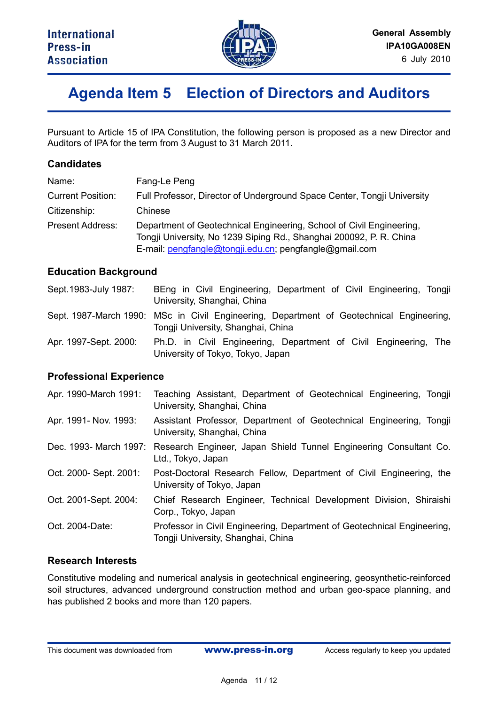

## **Agenda Item 5 Election of Directors and Auditors**

Pursuant to Article 15 of IPA Constitution, the following person is proposed as a new Director and Auditors of IPA for the term from 3 August to 31 March 2011.

#### **Candidates**

| Name:                    | Fang-Le Peng                                                                                                                                                                                          |
|--------------------------|-------------------------------------------------------------------------------------------------------------------------------------------------------------------------------------------------------|
| <b>Current Position:</b> | Full Professor, Director of Underground Space Center, Tongji University                                                                                                                               |
| Citizenship:             | Chinese                                                                                                                                                                                               |
| <b>Present Address:</b>  | Department of Geotechnical Engineering, School of Civil Engineering,<br>Tongji University, No 1239 Siping Rd., Shanghai 200092, P. R. China<br>E-mail: pengfangle@tongji.edu.cn; pengfangle@gmail.com |

#### **Education Background**

| Sept. 1983-July 1987: | BEng in Civil Engineering, Department of Civil Engineering, Tongji<br>University, Shanghai, China                              |
|-----------------------|--------------------------------------------------------------------------------------------------------------------------------|
|                       | Sept. 1987-March 1990: MSc in Civil Engineering, Department of Geotechnical Engineering,<br>Tongji University, Shanghai, China |
| Apr. 1997-Sept. 2000: | Ph.D. in Civil Engineering, Department of Civil Engineering, The<br>University of Tokyo, Tokyo, Japan                          |

#### **Professional Experience**

| Apr. 1990-March 1991:  | Teaching Assistant, Department of Geotechnical Engineering, Tongji<br>University, Shanghai, China              |
|------------------------|----------------------------------------------------------------------------------------------------------------|
| Apr. 1991- Nov. 1993:  | Assistant Professor, Department of Geotechnical Engineering, Tongji<br>University, Shanghai, China             |
|                        | Dec. 1993- March 1997: Research Engineer, Japan Shield Tunnel Engineering Consultant Co.<br>Ltd., Tokyo, Japan |
| Oct. 2000- Sept. 2001: | Post-Doctoral Research Fellow, Department of Civil Engineering, the<br>University of Tokyo, Japan              |
| Oct. 2001-Sept. 2004:  | Chief Research Engineer, Technical Development Division, Shiraishi<br>Corp., Tokyo, Japan                      |
| Oct. 2004-Date:        | Professor in Civil Engineering, Department of Geotechnical Engineering,<br>Tongji University, Shanghai, China  |

#### **Research Interests**

Constitutive modeling and numerical analysis in geotechnical engineering, geosynthetic-reinforced soil structures, advanced underground construction method and urban geo-space planning, and has published 2 books and more than 120 papers.